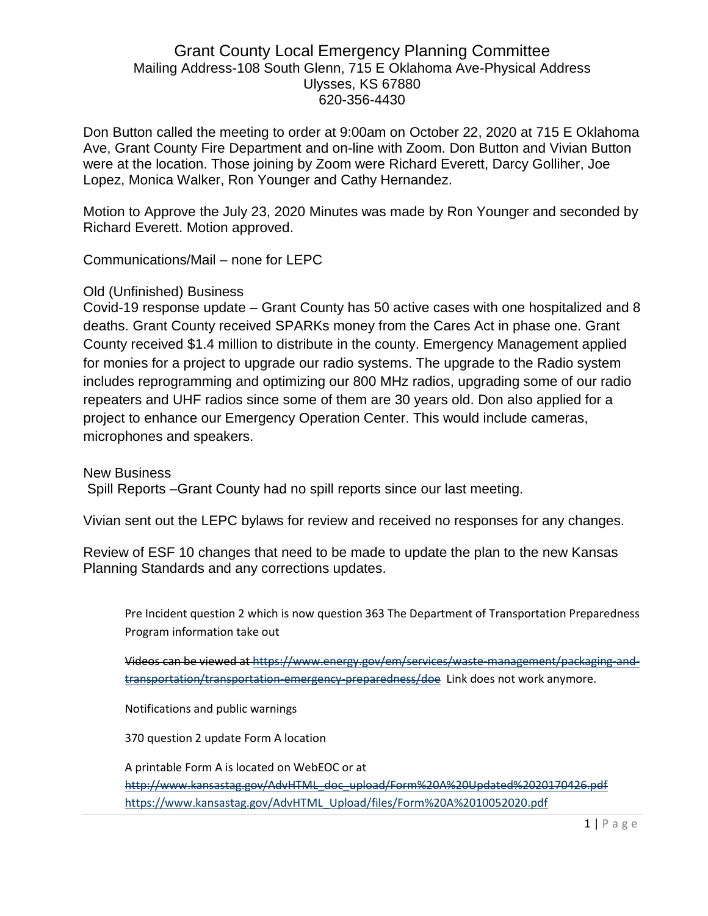# Grant County Local Emergency Planning Committee Mailing Address-108 South Glenn, 715 E Oklahoma Ave-Physical Address Ulysses, KS 67880 620-356-4430

Don Button called the meeting to order at 9:00am on October 22, 2020 at 715 E Oklahoma Ave, Grant County Fire Department and on-line with Zoom. Don Button and Vivian Button were at the location. Those joining by Zoom were Richard Everett, Darcy Golliher, Joe Lopez, Monica Walker, Ron Younger and Cathy Hernandez.

Motion to Approve the July 23, 2020 Minutes was made by Ron Younger and seconded by Richard Everett. Motion approved.

Communications/Mail – none for LEPC

## Old (Unfinished) Business

Covid-19 response update – Grant County has 50 active cases with one hospitalized and 8 deaths. Grant County received SPARKs money from the Cares Act in phase one. Grant County received \$1.4 million to distribute in the county. Emergency Management applied for monies for a project to upgrade our radio systems. The upgrade to the Radio system includes reprogramming and optimizing our 800 MHz radios, upgrading some of our radio repeaters and UHF radios since some of them are 30 years old. Don also applied for a project to enhance our Emergency Operation Center. This would include cameras, microphones and speakers.

New Business

Spill Reports –Grant County had no spill reports since our last meeting.

Vivian sent out the LEPC bylaws for review and received no responses for any changes.

Review of ESF 10 changes that need to be made to update the plan to the new Kansas Planning Standards and any corrections updates.

Pre Incident question 2 which is now question 363 The Department of Transportation Preparedness Program information take out

Videos can be viewed a[t https://www.energy.gov/em/services/waste-management/packaging-and](https://www.energy.gov/em/services/waste-management/packaging-and-transportation/transportation-emergency-preparedness/doe)[transportation/transportation-emergency-preparedness/doe](https://www.energy.gov/em/services/waste-management/packaging-and-transportation/transportation-emergency-preparedness/doe) Link does not work anymore.

Notifications and public warnings

370 question 2 update Form A location

A printable Form A is located on WebEOC or at

[http://www.kansastag.gov/AdvHTML\\_doc\\_upload/Form%20A%20Updated%2020170426.pdf](http://www.kansastag.gov/AdvHTML_doc_upload/Form%20A%20Updated%2020170426.pdf) [https://www.kansastag.gov/AdvHTML\\_Upload/files/Form%20A%2010052020.pdf](https://www.kansastag.gov/AdvHTML_Upload/files/Form%20A%2010052020.pdf)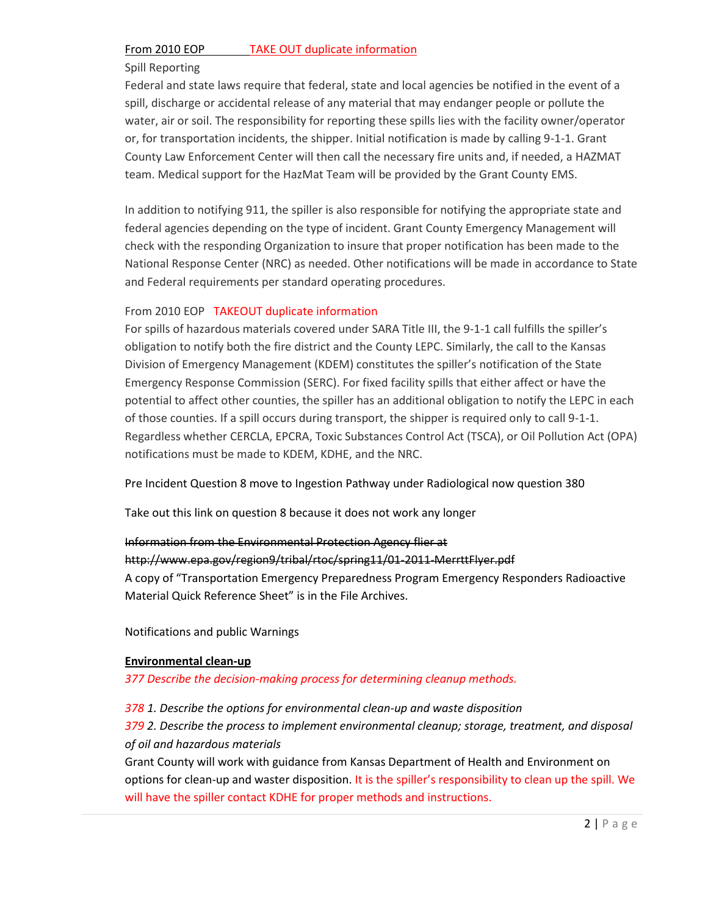#### From 2010 EOP TAKE OUT duplicate information

## Spill Reporting

Federal and state laws require that federal, state and local agencies be notified in the event of a spill, discharge or accidental release of any material that may endanger people or pollute the water, air or soil. The responsibility for reporting these spills lies with the facility owner/operator or, for transportation incidents, the shipper. Initial notification is made by calling 9-1-1. Grant County Law Enforcement Center will then call the necessary fire units and, if needed, a HAZMAT team. Medical support for the HazMat Team will be provided by the Grant County EMS.

In addition to notifying 911, the spiller is also responsible for notifying the appropriate state and federal agencies depending on the type of incident. Grant County Emergency Management will check with the responding Organization to insure that proper notification has been made to the National Response Center (NRC) as needed. Other notifications will be made in accordance to State and Federal requirements per standard operating procedures.

## From 2010 EOP TAKEOUT duplicate information

For spills of hazardous materials covered under SARA Title III, the 9-1-1 call fulfills the spiller's obligation to notify both the fire district and the County LEPC. Similarly, the call to the Kansas Division of Emergency Management (KDEM) constitutes the spiller's notification of the State Emergency Response Commission (SERC). For fixed facility spills that either affect or have the potential to affect other counties, the spiller has an additional obligation to notify the LEPC in each of those counties. If a spill occurs during transport, the shipper is required only to call 9-1-1. Regardless whether CERCLA, EPCRA, Toxic Substances Control Act (TSCA), or Oil Pollution Act (OPA) notifications must be made to KDEM, KDHE, and the NRC.

Pre Incident Question 8 move to Ingestion Pathway under Radiological now question 380

Take out this link on question 8 because it does not work any longer

### Information from the Environmental Protection Agency flier at

### http://www.epa.gov/region9/tribal/rtoc/spring11/01-2011-MerrttFlyer.pdf

A copy of "Transportation Emergency Preparedness Program Emergency Responders Radioactive Material Quick Reference Sheet" is in the File Archives.

Notifications and public Warnings

#### **Environmental clean-up**

*377 Describe the decision-making process for determining cleanup methods.*

*378 1. Describe the options for environmental clean-up and waste disposition*

*379 2. Describe the process to implement environmental cleanup; storage, treatment, and disposal of oil and hazardous materials* 

Grant County will work with guidance from Kansas Department of Health and Environment on options for clean-up and waster disposition. It is the spiller's responsibility to clean up the spill. We will have the spiller contact KDHE for proper methods and instructions.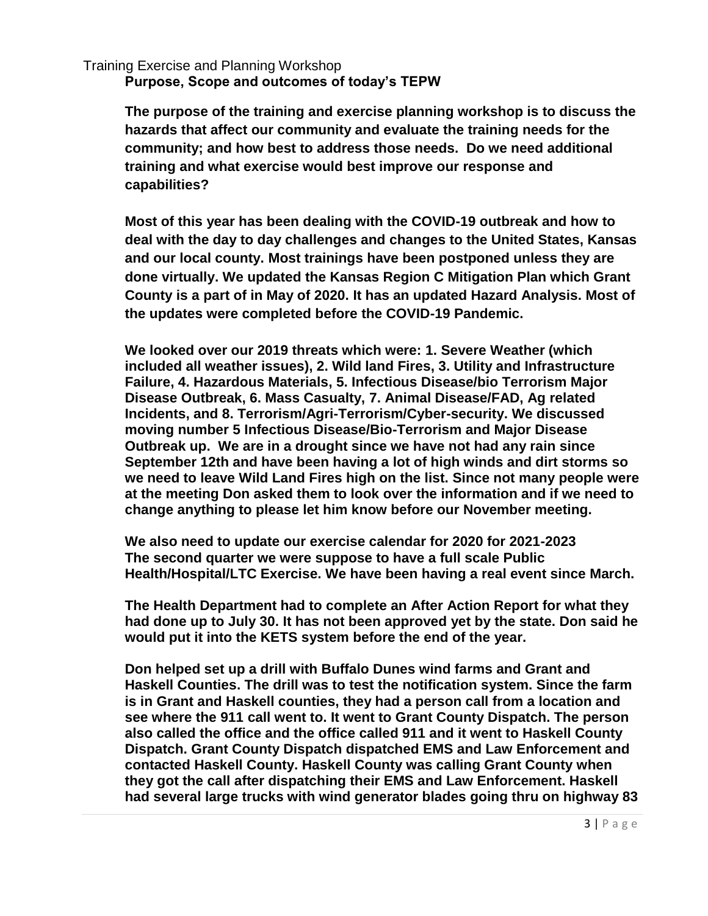Training Exercise and Planning Workshop

**Purpose, Scope and outcomes of today's TEPW**

**The purpose of the training and exercise planning workshop is to discuss the hazards that affect our community and evaluate the training needs for the community; and how best to address those needs. Do we need additional training and what exercise would best improve our response and capabilities?**

**Most of this year has been dealing with the COVID-19 outbreak and how to deal with the day to day challenges and changes to the United States, Kansas and our local county. Most trainings have been postponed unless they are done virtually. We updated the Kansas Region C Mitigation Plan which Grant County is a part of in May of 2020. It has an updated Hazard Analysis. Most of the updates were completed before the COVID-19 Pandemic.**

**We looked over our 2019 threats which were: 1. Severe Weather (which included all weather issues), 2. Wild land Fires, 3. Utility and Infrastructure Failure, 4. Hazardous Materials, 5. Infectious Disease/bio Terrorism Major Disease Outbreak, 6. Mass Casualty, 7. Animal Disease/FAD, Ag related Incidents, and 8. Terrorism/Agri-Terrorism/Cyber-security. We discussed moving number 5 Infectious Disease/Bio-Terrorism and Major Disease Outbreak up. We are in a drought since we have not had any rain since September 12th and have been having a lot of high winds and dirt storms so we need to leave Wild Land Fires high on the list. Since not many people were at the meeting Don asked them to look over the information and if we need to change anything to please let him know before our November meeting.** 

**We also need to update our exercise calendar for 2020 for 2021-2023 The second quarter we were suppose to have a full scale Public Health/Hospital/LTC Exercise. We have been having a real event since March.** 

**The Health Department had to complete an After Action Report for what they had done up to July 30. It has not been approved yet by the state. Don said he would put it into the KETS system before the end of the year.** 

**Don helped set up a drill with Buffalo Dunes wind farms and Grant and Haskell Counties. The drill was to test the notification system. Since the farm is in Grant and Haskell counties, they had a person call from a location and see where the 911 call went to. It went to Grant County Dispatch. The person also called the office and the office called 911 and it went to Haskell County Dispatch. Grant County Dispatch dispatched EMS and Law Enforcement and contacted Haskell County. Haskell County was calling Grant County when they got the call after dispatching their EMS and Law Enforcement. Haskell had several large trucks with wind generator blades going thru on highway 83**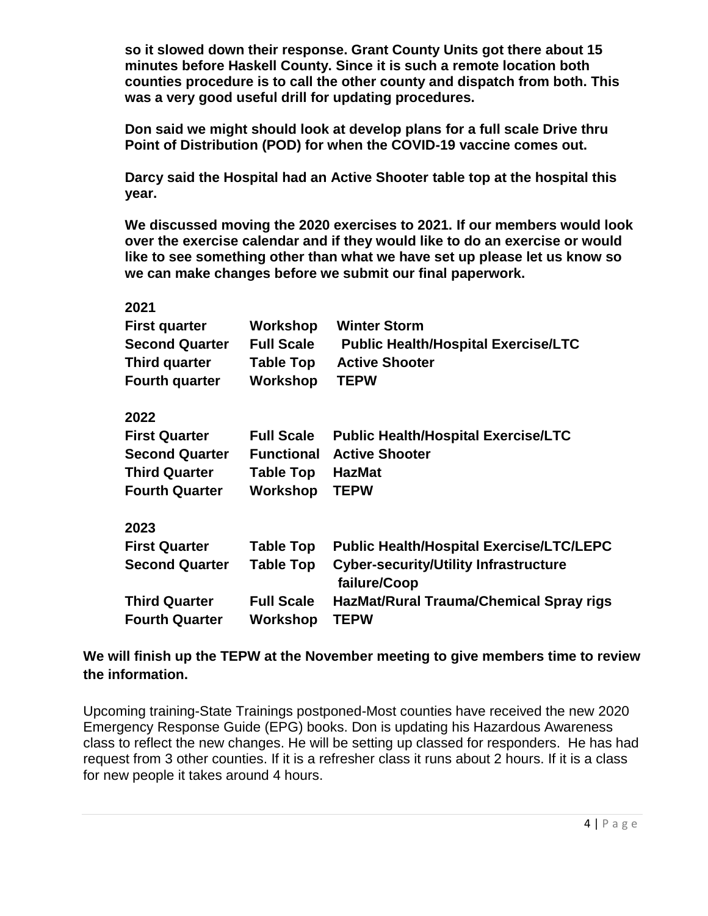**so it slowed down their response. Grant County Units got there about 15 minutes before Haskell County. Since it is such a remote location both counties procedure is to call the other county and dispatch from both. This was a very good useful drill for updating procedures.**

**Don said we might should look at develop plans for a full scale Drive thru Point of Distribution (POD) for when the COVID-19 vaccine comes out.**

**Darcy said the Hospital had an Active Shooter table top at the hospital this year.**

**We discussed moving the 2020 exercises to 2021. If our members would look over the exercise calendar and if they would like to do an exercise or would like to see something other than what we have set up please let us know so we can make changes before we submit our final paperwork.** 

| 2021                  |                   |                                                              |
|-----------------------|-------------------|--------------------------------------------------------------|
| <b>First quarter</b>  | Workshop          | <b>Winter Storm</b>                                          |
| <b>Second Quarter</b> | <b>Full Scale</b> | <b>Public Health/Hospital Exercise/LTC</b>                   |
| <b>Third quarter</b>  | <b>Table Top</b>  | <b>Active Shooter</b>                                        |
| <b>Fourth quarter</b> | Workshop          | <b>TEPW</b>                                                  |
| 2022                  |                   |                                                              |
| <b>First Quarter</b>  | <b>Full Scale</b> | <b>Public Health/Hospital Exercise/LTC</b>                   |
| <b>Second Quarter</b> | <b>Functional</b> | <b>Active Shooter</b>                                        |
| <b>Third Quarter</b>  | <b>Table Top</b>  | <b>HazMat</b>                                                |
| <b>Fourth Quarter</b> | Workshop          | <b>TEPW</b>                                                  |
| 2023                  |                   |                                                              |
| <b>First Quarter</b>  | <b>Table Top</b>  | <b>Public Health/Hospital Exercise/LTC/LEPC</b>              |
| <b>Second Quarter</b> | <b>Table Top</b>  | <b>Cyber-security/Utility Infrastructure</b><br>failure/Coop |
| <b>Third Quarter</b>  | <b>Full Scale</b> | HazMat/Rural Trauma/Chemical Spray rigs                      |
| <b>Fourth Quarter</b> | Workshop          | <b>TEPW</b>                                                  |

# **We will finish up the TEPW at the November meeting to give members time to review the information.**

Upcoming training-State Trainings postponed-Most counties have received the new 2020 Emergency Response Guide (EPG) books. Don is updating his Hazardous Awareness class to reflect the new changes. He will be setting up classed for responders. He has had request from 3 other counties. If it is a refresher class it runs about 2 hours. If it is a class for new people it takes around 4 hours.